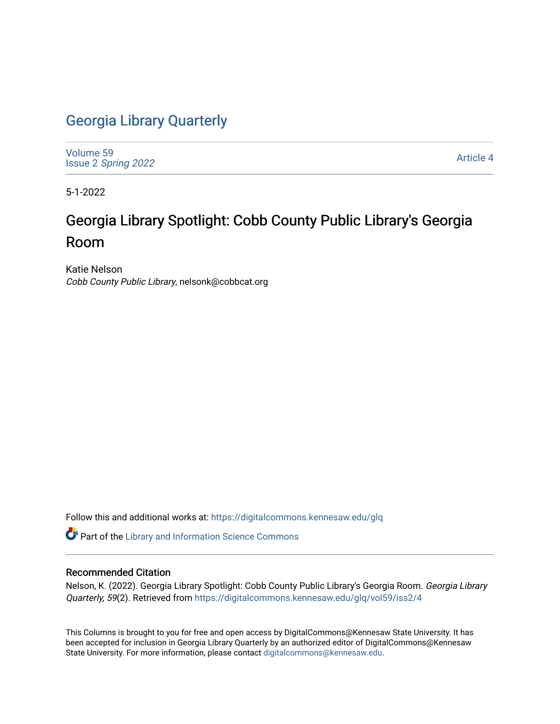## [Georgia Library Quarterly](https://digitalcommons.kennesaw.edu/glq)

[Volume 59](https://digitalcommons.kennesaw.edu/glq/vol59) Issue 2 [Spring 2022](https://digitalcommons.kennesaw.edu/glq/vol59/iss2) 

[Article 4](https://digitalcommons.kennesaw.edu/glq/vol59/iss2/4) 

5-1-2022

## Georgia Library Spotlight: Cobb County Public Library's Georgia Room

Katie Nelson Cobb County Public Library, nelsonk@cobbcat.org

Follow this and additional works at: [https://digitalcommons.kennesaw.edu/glq](https://digitalcommons.kennesaw.edu/glq?utm_source=digitalcommons.kennesaw.edu%2Fglq%2Fvol59%2Fiss2%2F4&utm_medium=PDF&utm_campaign=PDFCoverPages) 

Part of the [Library and Information Science Commons](http://network.bepress.com/hgg/discipline/1018?utm_source=digitalcommons.kennesaw.edu%2Fglq%2Fvol59%2Fiss2%2F4&utm_medium=PDF&utm_campaign=PDFCoverPages) 

## Recommended Citation

Nelson, K. (2022). Georgia Library Spotlight: Cobb County Public Library's Georgia Room. Georgia Library Quarterly, 59(2). Retrieved from [https://digitalcommons.kennesaw.edu/glq/vol59/iss2/4](https://digitalcommons.kennesaw.edu/glq/vol59/iss2/4?utm_source=digitalcommons.kennesaw.edu%2Fglq%2Fvol59%2Fiss2%2F4&utm_medium=PDF&utm_campaign=PDFCoverPages) 

This Columns is brought to you for free and open access by DigitalCommons@Kennesaw State University. It has been accepted for inclusion in Georgia Library Quarterly by an authorized editor of DigitalCommons@Kennesaw State University. For more information, please contact [digitalcommons@kennesaw.edu.](mailto:digitalcommons@kennesaw.edu)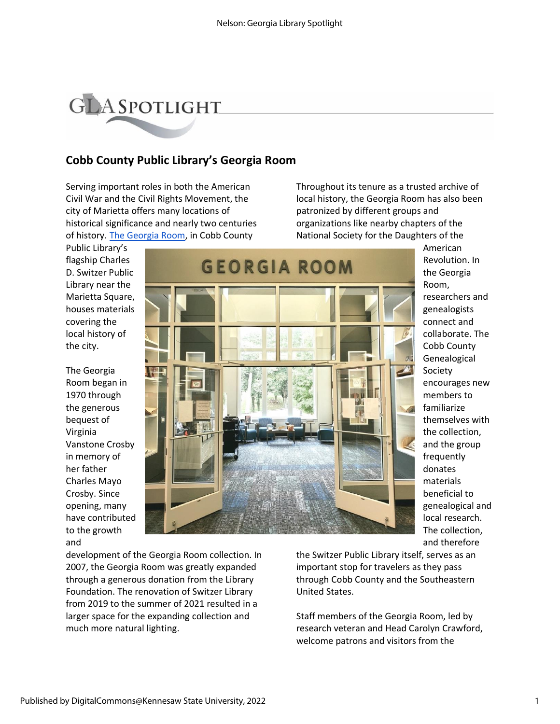

## **Cobb County Public Library's Georgia Room**

Serving important roles in both the American Civil War and the Civil Rights Movement, the city of Marietta offers many locations of historical significance and nearly two centuries of history. [The Georgia Room,](https://www.cobbcounty.org/library/learning-programs/georgia-room) in Cobb County

Throughout its tenure as a trusted archive of local history, the Georgia Room has also been patronized by different groups and organizations like nearby chapters of the National Society for the Daughters of the

Public Library's flagship Charles D. Switzer Public Library near the Marietta Square, houses materials covering the local history of the city.

The Georgia Room began in 1970 through the generous bequest of Virginia Vanstone Crosby in memory of her father Charles Mayo Crosby. Since opening, many have contributed to the growth and



American Revolution. In the Georgia Room,

researchers and genealogists connect and collaborate. The Cobb County Genealogical Society encourages new members to familiarize themselves with the collection, and the group frequently donates materials beneficial to genealogical and local research. The collection, and therefore

development of the Georgia Room collection. In 2007, the Georgia Room was greatly expanded through a generous donation from the Library Foundation. The renovation of Switzer Library from 2019 to the summer of 2021 resulted in a larger space for the expanding collection and much more natural lighting.

the Switzer Public Library itself, serves as an important stop for travelers as they pass through Cobb County and the Southeastern United States.

Staff members of the Georgia Room, led by research veteran and Head Carolyn Crawford, welcome patrons and visitors from the